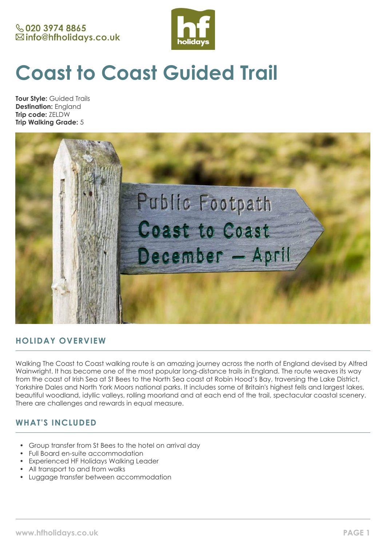

# **Coast to Coast Guided Trail**

**Tour Style:** Guided Trails **Destination:** England **Trip code:** ZELDW **Trip Walking Grade:** 5



## **HOLIDAY OVERVIEW**

Walking The Coast to Coast walking route is an amazing journey across the north of England devised by Alfred Wainwright. It has become one of the most popular long-distance trails in England. The route weaves its way from the coast of Irish Sea at St Bees to the North Sea coast at Robin Hood's Bay, traversing the Lake District, Yorkshire Dales and North York Moors national parks. It includes some of Britain's highest fells and largest lakes, beautiful woodland, idyllic valleys, rolling moorland and at each end of the trail, spectacular coastal scenery. There are challenges and rewards in equal measure.

## **WHAT'S INCLUDED**

- Group transfer from St Bees to the hotel on arrival day
- Full Board en-suite accommodation
- Experienced HF Holidays Walking Leader
- All transport to and from walks
- Luggage transfer between accommodation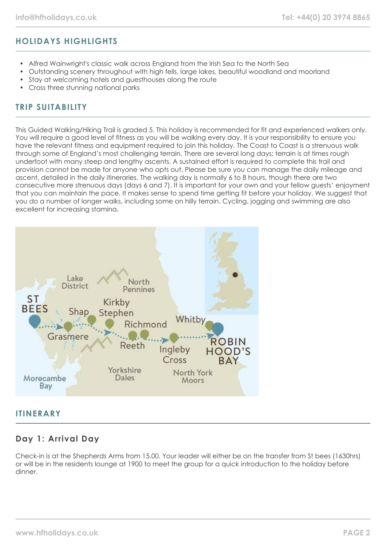# **HOLIDAYS HIGHLIGHTS**

- Alfred Wainwright's classic walk across England from the Irish Sea to the North Sea
- Outstanding scenery throughout with high fells, large lakes, beautiful woodland and moorland
- Stay at welcoming hotels and guesthouses along the route
- Cross three stunning national parks

## **TRIP SUITABILITY**

This Guided Walking/Hiking Trail is graded 5. This holiday is recommended for fit and experienced walkers only. You will require a good level of fitness as you will be walking every day. It is your responsibility to ensure you have the relevant fitness and equipment required to join this holiday. The Coast to Coast is a strenuous walk through some of England's most challenging terrain. There are several long days; terrain is at times rough underfoot with many steep and lengthy ascents. A sustained effort is required to complete this trail and provision cannot be made for anyone who opts out. Please be sure you can manage the daily mileage and ascent, detailed in the daily itineraries. The walking day is normally 6 to 8 hours, though there are two consecutive more strenuous days (days 6 and 7). It is important for your own and your fellow guests' enjoyment that you can maintain the pace. It makes sense to spend time getting fit before your holiday. We suggest that you do a number of longer walks, including some on hilly terrain. Cycling, jogging and swimming are also excellent for increasing stamina.



#### **ITINERARY**

## **Day 1: Arrival Day**

Check-in is at the Shepherds Arms from 15.00. Your leader will either be on the transfer from St bees (1630hrs) or will be in the residents lounge at 1900 to meet the group for a quick introduction to the holiday before dinner.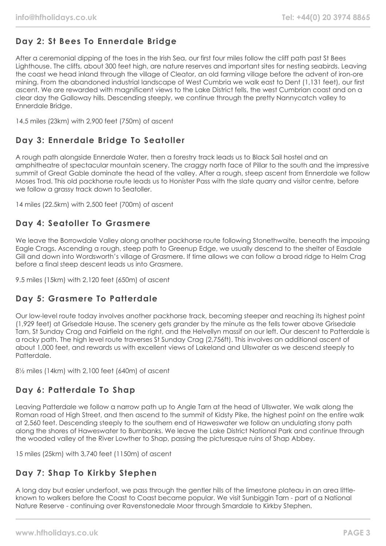# **Day 2: St Bees To Ennerdale Bridge**

After a ceremonial dipping of the toes in the Irish Sea, our first four miles follow the cliff path past St Bees Lighthouse. The cliffs, about 300 feet high, are nature reserves and important sites for nesting seabirds. Leaving the coast we head inland through the village of Cleator, an old farming village before the advent of iron-ore mining. From the abandoned industrial landscape of West Cumbria we walk east to Dent (1,131 feet), our first ascent. We are rewarded with magnificent views to the Lake District fells, the west Cumbrian coast and on a clear day the Galloway hills. Descending steeply, we continue through the pretty Nannycatch valley to Ennerdale Bridge.

14.5 miles (23km) with 2,900 feet (750m) of ascent

## **Day 3: Ennerdale Bridge To Seatoller**

A rough path alongside Ennerdale Water, then a forestry track leads us to Black Sail hostel and an amphitheatre of spectacular mountain scenery. The craggy north face of Pillar to the south and the impressive summit of Great Gable dominate the head of the valley. After a rough, steep ascent from Ennerdale we follow Moses Trod. This old packhorse route leads us to Honister Pass with the slate quarry and visitor centre, before we follow a grassy track down to Seatoller.

14 miles (22.5km) with 2,500 feet (700m) of ascent

## **Day 4: Seatoller To Grasmere**

We leave the Borrowdale Valley along another packhorse route following Stonethwaite, beneath the imposing Eagle Crags. Ascending a rough, steep path to Greenup Edge, we usually descend to the shelter of Easdale Gill and down into Wordsworth's village of Grasmere. If time allows we can follow a broad ridge to Helm Crag before a final steep descent leads us into Grasmere.

9.5 miles (15km) with 2,120 feet (650m) of ascent

## **Day 5: Grasmere To Patterdale**

Our low-level route today involves another packhorse track, becoming steeper and reaching its highest point (1,929 feet) at Grisedale Hause. The scenery gets grander by the minute as the fells tower above Grisedale Tarn, St Sunday Crag and Fairfield on the right, and the Helvellyn massif on our left. Our descent to Patterdale is a rocky path. The high level route traverses St Sunday Crag (2,756ft). This involves an additional ascent of about 1,000 feet, and rewards us with excellent views of Lakeland and Ullswater as we descend steeply to **Patterdale** 

8½ miles (14km) with 2,100 feet (640m) of ascent

# **Day 6: Patterdale To Shap**

Leaving Patterdale we follow a narrow path up to Angle Tarn at the head of Ullswater. We walk along the Roman road of High Street, and then ascend to the summit of Kidsty Pike, the highest point on the entire walk at 2,560 feet. Descending steeply to the southern end of Haweswater we follow an undulating stony path along the shores of Haweswater to Burnbanks. We leave the Lake District National Park and continue through the wooded valley of the River Lowther to Shap, passing the picturesque ruins of Shap Abbey.

15 miles (25km) with 3,740 feet (1150m) of ascent

# **Day 7: Shap To Kirkby Stephen**

A long day but easier underfoot, we pass through the gentler hills of the limestone plateau in an area littleknown to walkers before the Coast to Coast became popular. We visit Sunbiggin Tarn - part of a National Nature Reserve - continuing over Ravenstonedale Moor through Smardale to Kirkby Stephen.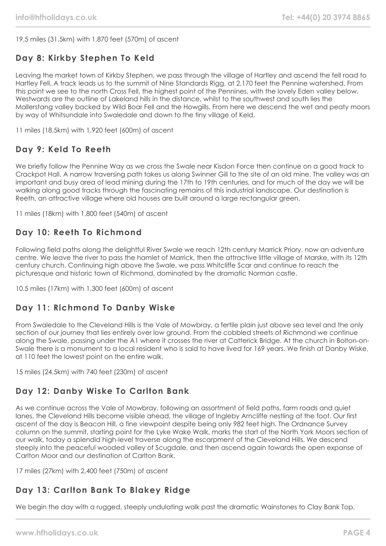19.5 miles (31.5km) with 1,870 feet (570m) of ascent

# **Day 8: Kirkby Stephen To Keld**

Leaving the market town of Kirkby Stephen, we pass through the village of Hartley and ascend the fell road to Hartley Fell. A track leads us to the summit of Nine Standards Rigg, at 2,170 feet the Pennine watershed. From this point we see to the north Cross Fell, the highest point of the Pennines, with the lovely Eden valley below. Westwards are the outline of Lakeland hills in the distance, whilst to the southwest and south lies the Mallerstang valley backed by Wild Boar Fell and the Howgills. From here we descend the wet and peaty moors by way of Whitsundale into Swaledale and down to the tiny village of Keld.

11 miles (18.5km) with 1,920 feet (600m) of ascent

## **Day 9: Keld To Reeth**

We briefly follow the Pennine Way as we cross the Swale near Kisdon Force then continue on a good track to Crackpot Hall. A narrow traversing path takes us along Swinner Gill to the site of an old mine. The valley was an important and busy area of lead mining during the 17th to 19th centuries, and for much of the day we will be walking along good tracks through the fascinating remains of this industrial landscape. Our destination is Reeth, an attractive village where old houses are built around a large rectangular green.

11 miles (18km) with 1,800 feet (540m) of ascent

## **Day 10: Reeth To Richmond**

Following field paths along the delightful River Swale we reach 12th century Marrick Priory, now an adventure centre. We leave the river to pass the hamlet of Marrick, then the attractive little village of Marske, with its 12th century church. Continuing high above the Swale, we pass Whitcliffe Scar and continue to reach the picturesque and historic town of Richmond, dominated by the dramatic Norman castle.

10.5 miles (17km) with 1,300 feet (600m) of ascent

## **Day 11: Richmond To Danby Wiske**

From Swaledale to the Cleveland Hills is the Vale of Mowbray, a fertile plain just above sea level and the only section of our journey that lies entirely over low ground. From the cobbled streets of Richmond we continue along the Swale, passing under the A1 where it crosses the river at Catterick Bridge. At the church in Bolton-on-Swale there is a monument to a local resident who is said to have lived for 169 years. We finish at Danby Wiske, at 110 feet the lowest point on the entire walk.

15 miles (24.5km) with 740 feet (230m) of ascent

# **Day 12: Danby Wiske To Carlton Bank**

As we continue across the Vale of Mowbray, following an assortment of field paths, farm roads and quiet lanes, the Cleveland Hills become visible ahead, the village of Ingleby Arncliffe nestling at the foot. Our first ascent of the day is Beacon Hill, a fine viewpoint despite being only 982 feet high. The Ordnance Survey column on the summit, starting point for the Lyke Wake Walk, marks the start of the North York Moors section of our walk, today a splendid high-level traverse along the escarpment of the Cleveland Hills. We descend steeply into the peaceful wooded valley of Scugdale, and then ascend again towards the open expanse of Carlton Moor and our destination of Carlton Bank.

17 miles (27km) with 2,400 feet (750m) of ascent

# **Day 13: Carlton Bank To Blakey Ridge**

We begin the day with a rugged, steeply undulating walk past the dramatic Wainstones to Clay Bank Top,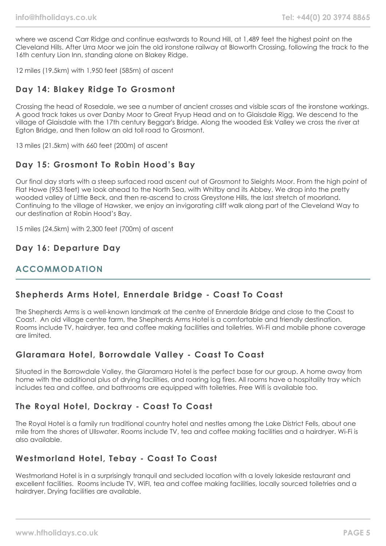where we ascend Carr Ridge and continue eastwards to Round Hill, at 1,489 feet the highest point on the Cleveland Hills. After Urra Moor we join the old ironstone railway at Bloworth Crossing, following the track to the 16th century Lion Inn, standing alone on Blakey Ridge.

12 miles (19.5km) with 1,950 feet (585m) of ascent

## **Day 14: Blakey Ridge To Grosmont**

Crossing the head of Rosedale, we see a number of ancient crosses and visible scars of the ironstone workings. A good track takes us over Danby Moor to Great Fryup Head and on to Glaisdale Rigg. We descend to the village of Glaisdale with the 17th century Beggar's Bridge. Along the wooded Esk Valley we cross the river at Egton Bridge, and then follow an old toll road to Grosmont.

13 miles (21.5km) with 660 feet (200m) of ascent

## **Day 15: Grosmont To Robin Hood's Bay**

Our final day starts with a steep surfaced road ascent out of Grosmont to Sleights Moor. From the high point of Flat Howe (953 feet) we look ahead to the North Sea, with Whitby and its Abbey. We drop into the pretty wooded valley of Little Beck, and then re-ascend to cross Greystone Hills, the last stretch of moorland. Continuing to the village of Hawsker, we enjoy an invigorating cliff walk along part of the Cleveland Way to our destination at Robin Hood's Bay.

15 miles (24.5km) with 2,300 feet (700m) of ascent

#### **Day 16: Departure Day**

## **ACCOMMODATION**

## **Shepherds Arms Hotel, Ennerdale Bridge - Coast To Coast**

The Shepherds Arms is a well-known landmark at the centre of Ennerdale Bridge and close to the Coast to Coast. An old village centre farm, the Shepherds Arms Hotel is a comfortable and friendly destination. Rooms include TV, hairdryer, tea and coffee making facilities and toiletries. Wi-Fi and mobile phone coverage are limited.

## **Glaramara Hotel, Borrowdale Valley - Coast To Coast**

Situated in the Borrowdale Valley, the Glaramara Hotel is the perfect base for our group. A home away from home with the additional plus of drying facilities, and roaring log fires. All rooms have a hospitality tray which includes tea and coffee, and bathrooms are equipped with toiletries. Free Wifi is available too.

## **The Royal Hotel, Dockray - Coast To Coast**

The Royal Hotel is a family run traditional country hotel and nestles among the Lake District Fells, about one mile from the shores of Ullswater. Rooms include TV, tea and coffee making facilities and a hairdryer. Wi-Fi is also available.

#### **Westmorland Hotel, Tebay - Coast To Coast**

Westmorland Hotel is in a surprisingly tranquil and secluded location with a lovely lakeside restaurant and excellent facilities. Rooms include TV, WiFI, tea and coffee making facilities, locally sourced toiletries and a hairdryer. Drying facilities are available.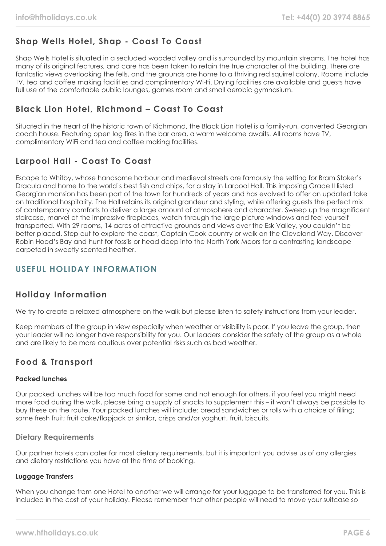# **Shap Wells Hotel, Shap - Coast To Coast**

Shap Wells Hotel is situated in a secluded wooded valley and is surrounded by mountain streams. The hotel has many of its original features, and care has been taken to retain the true character of the building. There are fantastic views overlooking the fells, and the grounds are home to a thriving red squirrel colony. Rooms include TV, tea and coffee making facilities and complimentary Wi-Fi. Drying facilities are available and guests have full use of the comfortable public lounges, games room and small aerobic gymnasium.

## **Black Lion Hotel, Richmond – Coast To Coast**

Situated in the heart of the historic town of Richmond, the Black Lion Hotel is a family-run, converted Georgian coach house. Featuring open log fires in the bar area, a warm welcome awaits. All rooms have TV, complimentary WiFi and tea and coffee making facilities.

## **Larpool Hall - Coast To Coast**

Escape to Whitby, whose handsome harbour and medieval streets are famously the setting for Bram Stoker's Dracula and home to the world's best fish and chips, for a stay in Larpool Hall. This imposing Grade II listed Georgian mansion has been part of the town for hundreds of years and has evolved to offer an updated take on traditional hospitality. The Hall retains its original grandeur and styling, while offering guests the perfect mix of contemporary comforts to deliver a large amount of atmosphere and character. Sweep up the magnificent staircase, marvel at the impressive fireplaces, watch through the large picture windows and feel yourself transported. With 29 rooms, 14 acres of attractive grounds and views over the Esk Valley, you couldn't be better placed. Step out to explore the coast, Captain Cook country or walk on the Cleveland Way. Discover Robin Hood's Bay and hunt for fossils or head deep into the North York Moors for a contrasting landscape carpeted in sweetly scented heather.

## **USEFUL HOLIDAY INFORMATION**

## **Holiday Information**

We try to create a relaxed atmosphere on the walk but please listen to safety instructions from your leader.

Keep members of the group in view especially when weather or visibility is poor. If you leave the group, then your leader will no longer have responsibility for you. Our leaders consider the safety of the group as a whole and are likely to be more cautious over potential risks such as bad weather.

## **Food & Transport**

#### **Packed lunches**

Our packed lunches will be too much food for some and not enough for others, if you feel you might need more food during the walk, please bring a supply of snacks to supplement this – it won't always be possible to buy these on the route. Your packed lunches will include: bread sandwiches or rolls with a choice of filling; some fresh fruit; fruit cake/flapjack or similar, crisps and/or yoghurt, fruit, biscuits.

#### **Dietary Requirements**

Our partner hotels can cater for most dietary requirements, but it is important you advise us of any allergies and dietary restrictions you have at the time of booking.

#### **Luggage Transfers**

When you change from one Hotel to another we will arrange for your luggage to be transferred for you. This is included in the cost of your holiday. Please remember that other people will need to move your suitcase so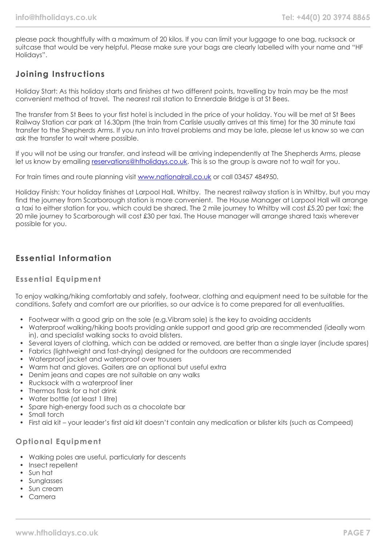please pack thoughtfully with a maximum of 20 kilos. If you can limit your luggage to one bag, rucksack or suitcase that would be very helpful. Please make sure your bags are clearly labelled with your name and "HF Holidays".

## **Joining Instructions**

Holiday Start: As this holiday starts and finishes at two different points, travelling by train may be the most convenient method of travel. The nearest rail station to Ennerdale Bridge is at St Bees.

The transfer from St Bees to your first hotel is included in the price of your holiday. You will be met at St Bees Railway Station car park at 16.30pm (the train from Carlisle usually arrives at this time) for the 30 minute taxi transfer to the Shepherds Arms. If you run into travel problems and may be late, please let us know so we can ask the transfer to wait where possible.

If you will not be using our transfer, and instead will be arriving independently at The Shepherds Arms, please let us know by emailing [reservations@hfholidays.co.uk.](mailto:reservations@hfholidays.co.uk) This is so the group is aware not to wait for you.

For train times and route planning visit [www.nationalrail.co.uk](http://www.nationalrail.co.uk/) or call 03457 484950.

Holiday Finish: Your holiday finishes at Larpool Hall, Whitby. The nearest railway station is in Whitby, but you may find the journey from Scarborough station is more convenient. The House Manager at Larpool Hall will arrange a taxi to either station for you, which could be shared. The 2 mile journey to Whitby will cost £5.20 per taxi; the 20 mile journey to Scarborough will cost £30 per taxi. The House manager will arrange shared taxis wherever possible for you.

## **Essential Information**

#### **Essential Equipment**

To enjoy walking/hiking comfortably and safely, footwear, clothing and equipment need to be suitable for the conditions. Safety and comfort are our priorities, so our advice is to come prepared for all eventualities.

- Footwear with a good grip on the sole (e.g.Vibram sole) is the key to avoiding accidents
- Waterproof walking/hiking boots providing ankle support and good grip are recommended (ideally worn in), and specialist walking socks to avoid blisters.
- Several layers of clothing, which can be added or removed, are better than a single layer (include spares)
- Fabrics (lightweight and fast-drying) designed for the outdoors are recommended
- Waterproof jacket and waterproof over trousers
- Warm hat and gloves. Gaiters are an optional but useful extra
- Denim jeans and capes are not suitable on any walks
- Rucksack with a waterproof liner
- Thermos flask for a hot drink
- Water bottle (at least 1 litre)
- Spare high-energy food such as a chocolate bar
- Small torch
- First aid kit your leader's first aid kit doesn't contain any medication or blister kits (such as Compeed)

#### **Optional Equipment**

- Walking poles are useful, particularly for descents
- Insect repellent
- Sun hat
- Sunglasses
- Sun cream
- Camera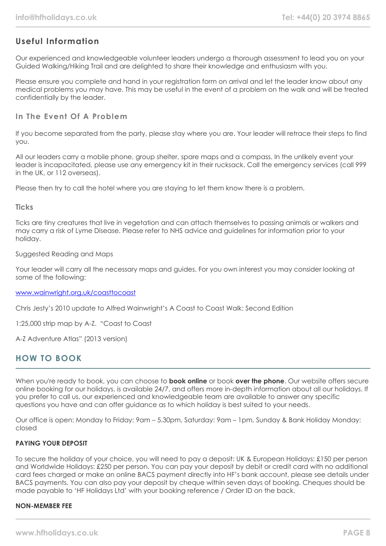## **Useful Information**

Our experienced and knowledgeable volunteer leaders undergo a thorough assessment to lead you on your Guided Walking/Hiking Trail and are delighted to share their knowledge and enthusiasm with you.

Please ensure you complete and hand in your registration form on arrival and let the leader know about any medical problems you may have. This may be useful in the event of a problem on the walk and will be treated confidentially by the leader.

#### **In The Event Of A Problem**

If you become separated from the party, please stay where you are. Your leader will retrace their steps to find you.

All our leaders carry a mobile phone, group shelter, spare maps and a compass. In the unlikely event your leader is incapacitated, please use any emergency kit in their rucksack. Call the emergency services (call 999 in the UK, or 112 overseas).

Please then try to call the hotel where you are staying to let them know there is a problem.

#### **Ticks**

Ticks are tiny creatures that live in vegetation and can attach themselves to passing animals or walkers and may carry a risk of Lyme Disease. Please refer to NHS advice and guidelines for information prior to your holiday.

#### Suggested Reading and Maps

Your leader will carry all the necessary maps and guides. For you own interest you may consider looking at some of the following:

#### [www.wainwright.org.uk/coasttocoast](http://www.wainwright.org.uk/coasttocoast)

Chris Jesty's 2010 update to Alfred Wainwright's A Coast to Coast Walk: Second Edition

1:25,000 strip map by A-Z. "Coast to Coast

A-Z Adventure Atlas" (2013 version)

## **HOW TO BOOK**

When you're ready to book, you can choose to **book online** or book **over the phone**. Our website offers secure online booking for our holidays, is available 24/7, and offers more in-depth information about all our holidays. If you prefer to call us, our experienced and knowledgeable team are available to answer any specific questions you have and can offer guidance as to which holiday is best suited to your needs.

Our office is open: Monday to Friday: 9am – 5.30pm, Saturday: 9am – 1pm, Sunday & Bank Holiday Monday: closed

#### **PAYING YOUR DEPOSIT**

To secure the holiday of your choice, you will need to pay a deposit: UK & European Holidays: £150 per person and Worldwide Holidays: £250 per person. You can pay your deposit by debit or credit card with no additional card fees charged or make an online BACS payment directly into HF's bank account, please see details under BACS payments. You can also pay your deposit by cheque within seven days of booking. Cheques should be made payable to 'HF Holidays Ltd' with your booking reference / Order ID on the back.

#### **NON-MEMBER FEE**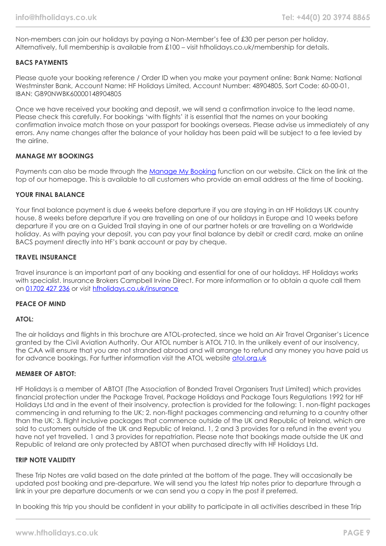Non-members can join our holidays by paying a Non-Member's fee of £30 per person per holiday. Alternatively, full membership is available from £100 – visit hfholidays.co.uk/membership for details.

#### **BACS PAYMENTS**

Please quote your booking reference / Order ID when you make your payment online: Bank Name: National Westminster Bank, Account Name: HF Holidays Limited, Account Number: 48904805, Sort Code: 60-00-01, IBAN: GB90NWBK60000148904805

Once we have received your booking and deposit, we will send a confirmation invoice to the lead name. Please check this carefully. For bookings 'with flights' it is essential that the names on your booking confirmation invoice match those on your passport for bookings overseas. Please advise us immediately of any errors. Any name changes after the balance of your holiday has been paid will be subject to a fee levied by the airline.

#### **MANAGE MY BOOKINGS**

Payments can also be made through the [Manage My Booking](https://www.hfholidays.co.uk/about-us/bookings/my-booking) function on our website. Click on the link at the top of our homepage. This is available to all customers who provide an email address at the time of booking.

#### **YOUR FINAL BALANCE**

Your final balance payment is due 6 weeks before departure if you are staying in an HF Holidays UK country house, 8 weeks before departure if you are travelling on one of our holidays in Europe and 10 weeks before departure if you are on a Guided Trail staying in one of our partner hotels or are travelling on a Worldwide holiday. As with paying your deposit, you can pay your final balance by debit or credit card, make an online BACS payment directly into HF's bank account or pay by cheque.

#### **TRAVEL INSURANCE**

Travel insurance is an important part of any booking and essential for one of our holidays. HF Holidays works with specialist. Insurance Brokers Campbell Irvine Direct. For more information or to obtain a quote call them on [01702 427 236](tel:01702427236) or visit [hfholidays.co.uk/insurance](https://www.hfholidays.co.uk/about-us/bookings/insurance)

#### **PEACE OF MIND**

#### **ATOL:**

The air holidays and flights in this brochure are ATOL-protected, since we hold an Air Travel Organiser's Licence granted by the Civil Aviation Authority. Our ATOL number is ATOL 710. In the unlikely event of our insolvency, the CAA will ensure that you are not stranded abroad and will arrange to refund any money you have paid us for advance bookings. For further information visit the ATOL website [atol.org.uk](https://www.atol.org/)

#### **MEMBER OF ABTOT:**

HF Holidays is a member of ABTOT (The Association of Bonded Travel Organisers Trust Limited) which provides financial protection under the Package Travel, Package Holidays and Package Tours Regulations 1992 for HF Holidays Ltd and in the event of their insolvency, protection is provided for the following: 1. non-flight packages commencing in and returning to the UK; 2. non-flight packages commencing and returning to a country other than the UK; 3. flight inclusive packages that commence outside of the UK and Republic of Ireland, which are sold to customers outside of the UK and Republic of Ireland. 1, 2 and 3 provides for a refund in the event you have not yet travelled. 1 and 3 provides for repatriation. Please note that bookings made outside the UK and Republic of Ireland are only protected by ABTOT when purchased directly with HF Holidays Ltd.

#### **TRIP NOTE VALIDITY**

These Trip Notes are valid based on the date printed at the bottom of the page. They will occasionally be updated post booking and pre-departure. We will send you the latest trip notes prior to departure through a link in your pre departure documents or we can send you a copy in the post if preferred.

In booking this trip you should be confident in your ability to participate in all activities described in these Trip